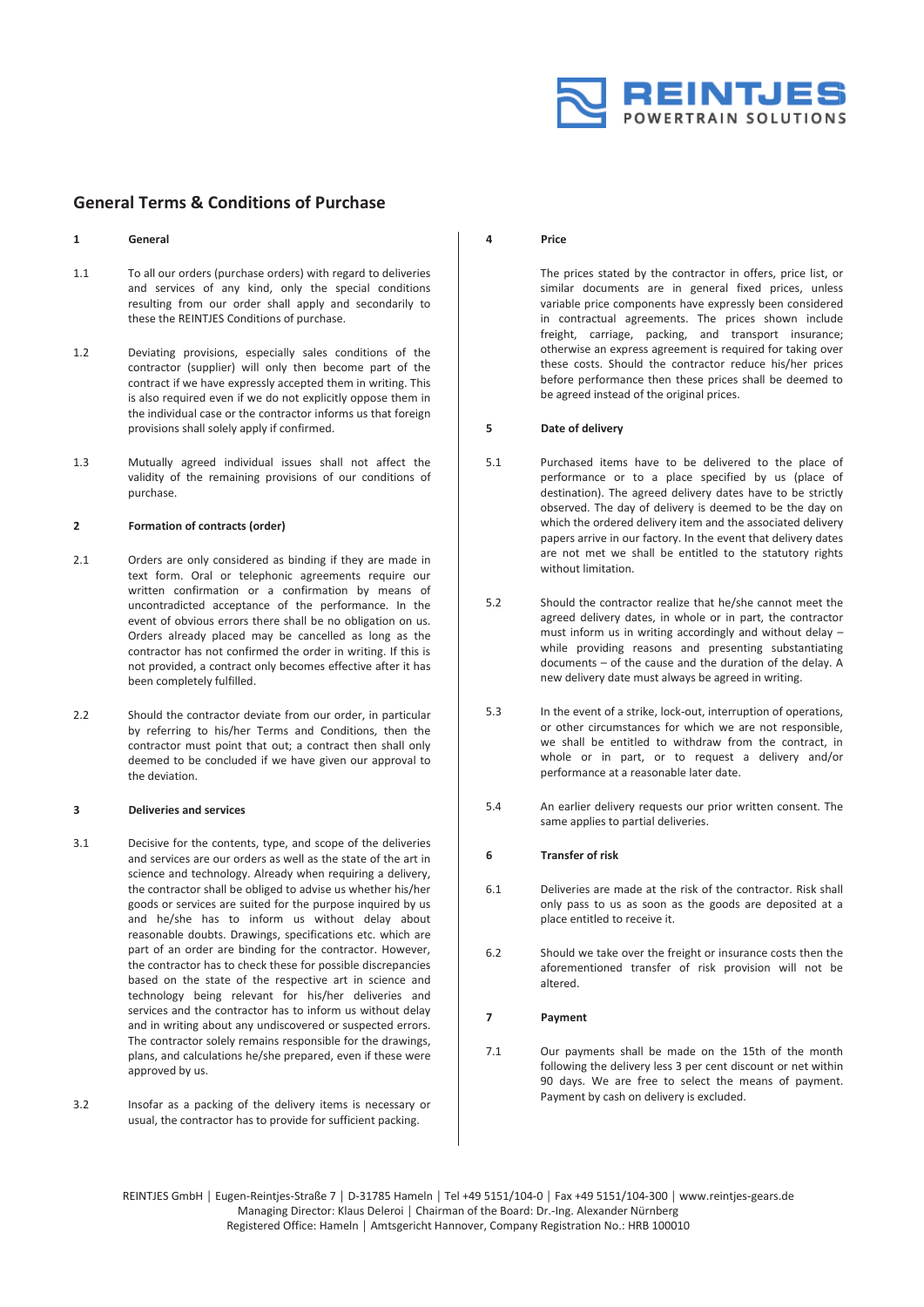

# **General Terms & Conditions of Purchase**

#### **1 General**

- 1.1 To all our orders (purchase orders) with regard to deliveries and services of any kind, only the special conditions resulting from our order shall apply and secondarily to these the REINTJES Conditions of purchase.
- 1.2 Deviating provisions, especially sales conditions of the contractor (supplier) will only then become part of the contract if we have expressly accepted them in writing. This is also required even if we do not explicitly oppose them in the individual case or the contractor informs us that foreign provisions shall solely apply if confirmed.
- 1.3 Mutually agreed individual issues shall not affect the validity of the remaining provisions of our conditions of purchase.

#### **2 Formation of contracts (order)**

- 2.1 Orders are only considered as binding if they are made in text form. Oral or telephonic agreements require our written confirmation or a confirmation by means of uncontradicted acceptance of the performance. In the event of obvious errors there shall be no obligation on us. Orders already placed may be cancelled as long as the contractor has not confirmed the order in writing. If this is not provided, a contract only becomes effective after it has been completely fulfilled.
- 2.2 Should the contractor deviate from our order, in particular by referring to his/her Terms and Conditions, then the contractor must point that out; a contract then shall only deemed to be concluded if we have given our approval to the deviation.

#### **3 Deliveries and services**

- 3.1 Decisive for the contents, type, and scope of the deliveries and services are our orders as well as the state of the art in science and technology. Already when requiring a delivery, the contractor shall be obliged to advise us whether his/her goods or services are suited for the purpose inquired by us and he/she has to inform us without delay about reasonable doubts. Drawings, specifications etc. which are part of an order are binding for the contractor. However, the contractor has to check these for possible discrepancies based on the state of the respective art in science and technology being relevant for his/her deliveries and services and the contractor has to inform us without delay and in writing about any undiscovered or suspected errors. The contractor solely remains responsible for the drawings, plans, and calculations he/she prepared, even if these were approved by us.
- 3.2 Insofar as a packing of the delivery items is necessary or usual, the contractor has to provide for sufficient packing.

#### **4 Price**

The prices stated by the contractor in offers, price list, or similar documents are in general fixed prices, unless variable price components have expressly been considered in contractual agreements. The prices shown include freight, carriage, packing, and transport insurance; otherwise an express agreement is required for taking over these costs. Should the contractor reduce his/her prices before performance then these prices shall be deemed to be agreed instead of the original prices.

#### **5 Date of delivery**

- 5.1 Purchased items have to be delivered to the place of performance or to a place specified by us (place of destination). The agreed delivery dates have to be strictly observed. The day of delivery is deemed to be the day on which the ordered delivery item and the associated delivery papers arrive in our factory. In the event that delivery dates are not met we shall be entitled to the statutory rights without limitation.
- 5.2 Should the contractor realize that he/she cannot meet the agreed delivery dates, in whole or in part, the contractor must inform us in writing accordingly and without delay – while providing reasons and presenting substantiating documents – of the cause and the duration of the delay. A new delivery date must always be agreed in writing.
- 5.3 In the event of a strike, lock-out, interruption of operations, or other circumstances for which we are not responsible, we shall be entitled to withdraw from the contract, in whole or in part, or to request a delivery and/or performance at a reasonable later date.
- 5.4 An earlier delivery requests our prior written consent. The same applies to partial deliveries.

### **6 Transfer of risk**

- 6.1 Deliveries are made at the risk of the contractor. Risk shall only pass to us as soon as the goods are deposited at a place entitled to receive it.
- 6.2 Should we take over the freight or insurance costs then the aforementioned transfer of risk provision will not be altered.

## **7 Payment**

7.1 Our payments shall be made on the 15th of the month following the delivery less 3 per cent discount or net within 90 days. We are free to select the means of payment. Payment by cash on delivery is excluded.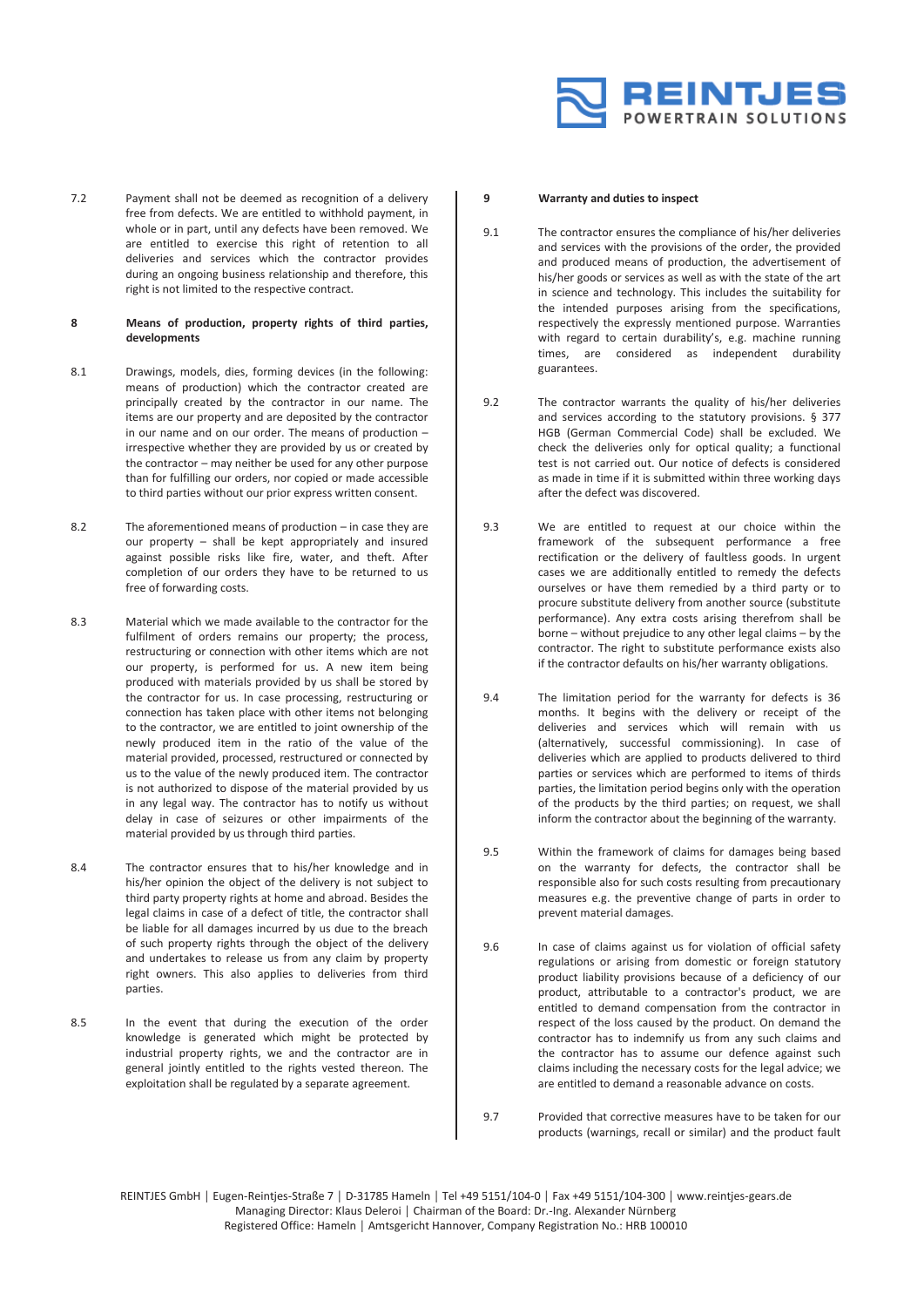

7.2 Payment shall not be deemed as recognition of a delivery free from defects. We are entitled to withhold payment, in whole or in part, until any defects have been removed. We are entitled to exercise this right of retention to all deliveries and services which the contractor provides during an ongoing business relationship and therefore, this right is not limited to the respective contract.

# **8 Means of production, property rights of third parties, developments**

- 8.1 Drawings, models, dies, forming devices (in the following: means of production) which the contractor created are principally created by the contractor in our name. The items are our property and are deposited by the contractor in our name and on our order. The means of production – irrespective whether they are provided by us or created by the contractor – may neither be used for any other purpose than for fulfilling our orders, nor copied or made accessible to third parties without our prior express written consent.
- 8.2 The aforementioned means of production in case they are our property – shall be kept appropriately and insured against possible risks like fire, water, and theft. After completion of our orders they have to be returned to us free of forwarding costs.
- 8.3 Material which we made available to the contractor for the fulfilment of orders remains our property; the process, restructuring or connection with other items which are not our property, is performed for us. A new item being produced with materials provided by us shall be stored by the contractor for us. In case processing, restructuring or connection has taken place with other items not belonging to the contractor, we are entitled to joint ownership of the newly produced item in the ratio of the value of the material provided, processed, restructured or connected by us to the value of the newly produced item. The contractor is not authorized to dispose of the material provided by us in any legal way. The contractor has to notify us without delay in case of seizures or other impairments of the material provided by us through third parties.
- 8.4 The contractor ensures that to his/her knowledge and in his/her opinion the object of the delivery is not subject to third party property rights at home and abroad. Besides the legal claims in case of a defect of title, the contractor shall be liable for all damages incurred by us due to the breach of such property rights through the object of the delivery and undertakes to release us from any claim by property right owners. This also applies to deliveries from third parties.
- 8.5 In the event that during the execution of the order knowledge is generated which might be protected by industrial property rights, we and the contractor are in general jointly entitled to the rights vested thereon. The exploitation shall be regulated by a separate agreement.

### **9 Warranty and duties to inspect**

- 9.1 The contractor ensures the compliance of his/her deliveries and services with the provisions of the order, the provided and produced means of production, the advertisement of his/her goods or services as well as with the state of the art in science and technology. This includes the suitability for the intended purposes arising from the specifications, respectively the expressly mentioned purpose. Warranties with regard to certain durability's, e.g. machine running times, are considered as independent durability guarantees.
- 9.2 The contractor warrants the quality of his/her deliveries and services according to the statutory provisions. § 377 HGB (German Commercial Code) shall be excluded. We check the deliveries only for optical quality; a functional test is not carried out. Our notice of defects is considered as made in time if it is submitted within three working days after the defect was discovered.
- 9.3 We are entitled to request at our choice within the framework of the subsequent performance a free rectification or the delivery of faultless goods. In urgent cases we are additionally entitled to remedy the defects ourselves or have them remedied by a third party or to procure substitute delivery from another source (substitute performance). Any extra costs arising therefrom shall be borne – without prejudice to any other legal claims – by the contractor. The right to substitute performance exists also if the contractor defaults on his/her warranty obligations.
- 9.4 The limitation period for the warranty for defects is 36 months. It begins with the delivery or receipt of the deliveries and services which will remain with us (alternatively, successful commissioning). In case of deliveries which are applied to products delivered to third parties or services which are performed to items of thirds parties, the limitation period begins only with the operation of the products by the third parties; on request, we shall inform the contractor about the beginning of the warranty.
- 9.5 Within the framework of claims for damages being based on the warranty for defects, the contractor shall be responsible also for such costs resulting from precautionary measures e.g. the preventive change of parts in order to prevent material damages.
- 9.6 In case of claims against us for violation of official safety regulations or arising from domestic or foreign statutory product liability provisions because of a deficiency of our product, attributable to a contractor's product, we are entitled to demand compensation from the contractor in respect of the loss caused by the product. On demand the contractor has to indemnify us from any such claims and the contractor has to assume our defence against such claims including the necessary costs for the legal advice; we are entitled to demand a reasonable advance on costs.
- 9.7 Provided that corrective measures have to be taken for our products (warnings, recall or similar) and the product fault

REINTJES GmbH │ Eugen-Reintjes-Straße 7 │ D-31785 Hameln │ Tel +49 5151/104-0 │ Fax +49 5151/104-300 │ www.reintjes-gears.de Managing Director: Klaus Deleroi │ Chairman of the Board: Dr.-Ing. Alexander Nürnberg Registered Office: Hameln │ Amtsgericht Hannover, Company Registration No.: HRB 100010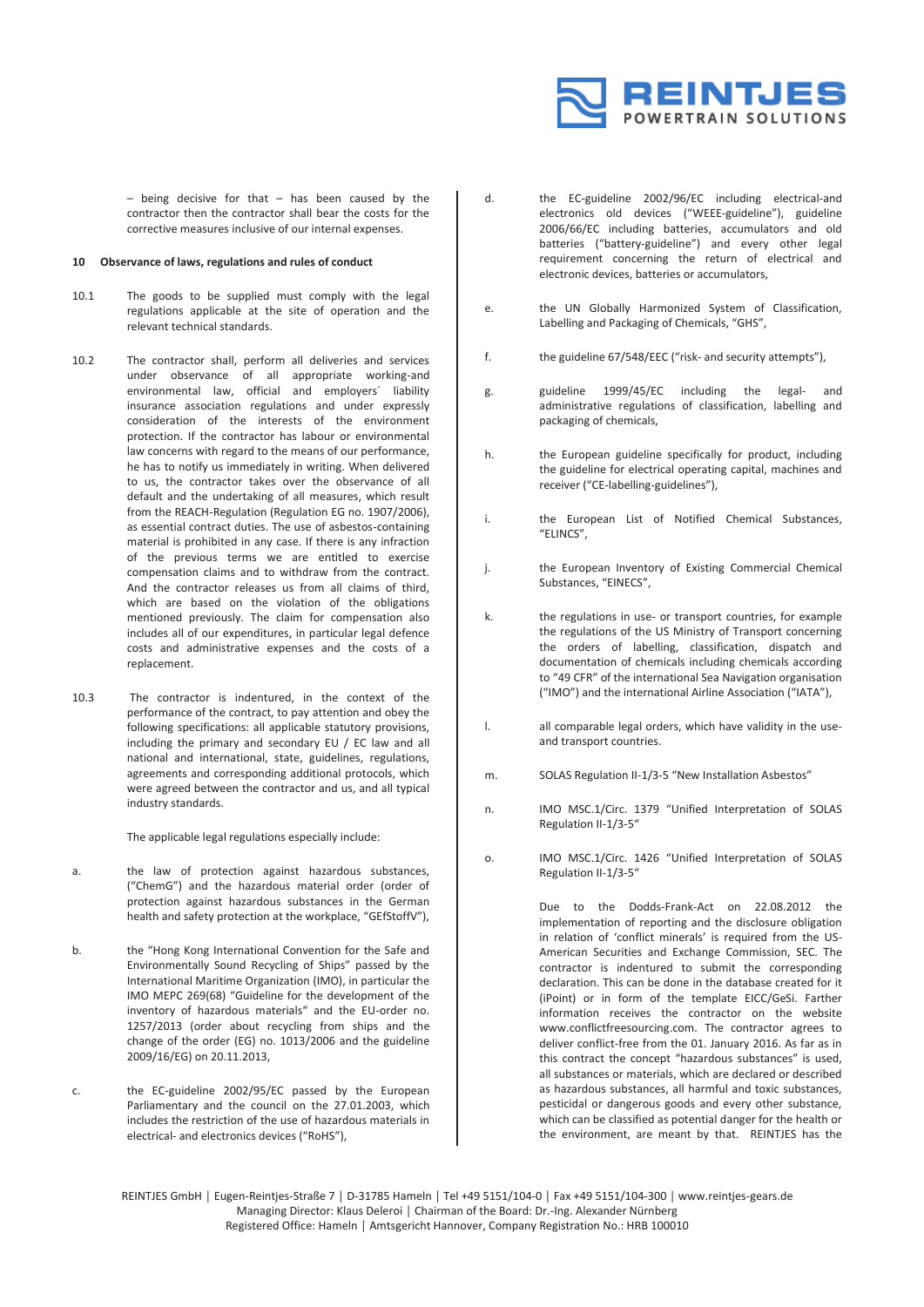

 $-$  being decisive for that  $-$  has been caused by the contractor then the contractor shall bear the costs for the corrective measures inclusive of our internal expenses.

# **10 Observance of laws, regulations and rules of conduct**

- 10.1 The goods to be supplied must comply with the legal regulations applicable at the site of operation and the relevant technical standards.
- 10.2 The contractor shall, perform all deliveries and services under observance of all appropriate working-and environmental law, official and employers´ liability insurance association regulations and under expressly consideration of the interests of the environment protection. If the contractor has labour or environmental law concerns with regard to the means of our performance, he has to notify us immediately in writing. When delivered to us, the contractor takes over the observance of all default and the undertaking of all measures, which result from the REACH-Regulation (Regulation EG no. 1907/2006), as essential contract duties. The use of asbestos-containing material is prohibited in any case. If there is any infraction of the previous terms we are entitled to exercise compensation claims and to withdraw from the contract. And the contractor releases us from all claims of third, which are based on the violation of the obligations mentioned previously. The claim for compensation also includes all of our expenditures, in particular legal defence costs and administrative expenses and the costs of a replacement.
- 10.3 The contractor is indentured, in the context of the performance of the contract, to pay attention and obey the following specifications: all applicable statutory provisions, including the primary and secondary EU / EC law and all national and international, state, guidelines, regulations, agreements and corresponding additional protocols, which were agreed between the contractor and us, and all typical industry standards.

The applicable legal regulations especially include:

- a. the law of protection against hazardous substances, ("ChemG") and the hazardous material order (order of protection against hazardous substances in the German health and safety protection at the workplace, "GEfStoffV"),
- b. the "Hong Kong International Convention for the Safe and Environmentally Sound Recycling of Ships" passed by the International Maritime Organization (IMO), in particular the IMO MEPC 269(68) "Guideline for the development of the inventory of hazardous materials" and the EU-order no. 1257/2013 (order about recycling from ships and the change of the order (EG) no. 1013/2006 and the guideline 2009/16/EG) on 20.11.2013,
- c. the EC-guideline 2002/95/EC passed by the European Parliamentary and the council on the 27.01.2003, which includes the restriction of the use of hazardous materials in electrical- and electronics devices ("RoHS"),
- d. the EC-guideline 2002/96/EC including electrical-and electronics old devices ("WEEE-guideline"), guideline 2006/66/EC including batteries, accumulators and old batteries ("battery-guideline") and every other legal requirement concerning the return of electrical and electronic devices, batteries or accumulators,
- e. the UN Globally Harmonized System of Classification, Labelling and Packaging of Chemicals, "GHS",
- f. the guideline 67/548/EEC ("risk- and security attempts"),
- g. guideline 1999/45/EC including the legal- and administrative regulations of classification, labelling and packaging of chemicals,
- h. the European guideline specifically for product, including the guideline for electrical operating capital, machines and receiver ("CE-labelling-guidelines"),
- i. the European List of Notified Chemical Substances, "ELINCS",
- j. the European Inventory of Existing Commercial Chemical Substances, "EINECS",
- k. the regulations in use- or transport countries, for example the regulations of the US Ministry of Transport concerning the orders of labelling, classification, dispatch and documentation of chemicals including chemicals according to "49 CFR" of the international Sea Navigation organisation ("IMO") and the international Airline Association ("IATA"),
- l. all comparable legal orders, which have validity in the useand transport countries.
- m. SOLAS Regulation II-1/3-5 "New Installation Asbestos"
- n. IMO MSC.1/Circ. 1379 "Unified Interpretation of SOLAS Regulation II-1/3-5"
- o. IMO MSC.1/Circ. 1426 "Unified Interpretation of SOLAS Regulation II-1/3-5"

Due to the Dodds-Frank-Act on 22.08.2012 the implementation of reporting and the disclosure obligation in relation of 'conflict minerals' is required from the US-American Securities and Exchange Commission, SEC. The contractor is indentured to submit the corresponding declaration. This can be done in the database created for it (iPoint) or in form of the template EICC/GeSi. Farther information receives the contractor on the website www.conflictfreesourcing.com. The contractor agrees to deliver conflict-free from the 01. January 2016. As far as in this contract the concept "hazardous substances" is used, all substances or materials, which are declared or described as hazardous substances, all harmful and toxic substances, pesticidal or dangerous goods and every other substance, which can be classified as potential danger for the health or the environment, are meant by that. REINTJES has the

REINTJES GmbH │ Eugen-Reintjes-Straße 7 │ D-31785 Hameln │ Tel +49 5151/104-0 │ Fax +49 5151/104-300 │ www.reintjes-gears.de Managing Director: Klaus Deleroi │ Chairman of the Board: Dr.-Ing. Alexander Nürnberg Registered Office: Hameln │ Amtsgericht Hannover, Company Registration No.: HRB 100010